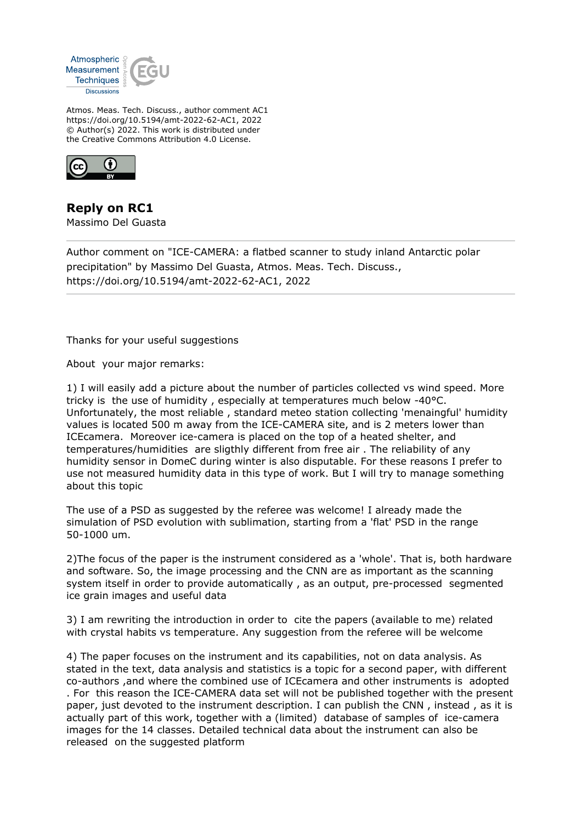

Atmos. Meas. Tech. Discuss., author comment AC1 https://doi.org/10.5194/amt-2022-62-AC1, 2022 © Author(s) 2022. This work is distributed under the Creative Commons Attribution 4.0 License.



**Reply on RC1** Massimo Del Guasta

Author comment on "ICE-CAMERA: a flatbed scanner to study inland Antarctic polar precipitation" by Massimo Del Guasta, Atmos. Meas. Tech. Discuss., https://doi.org/10.5194/amt-2022-62-AC1, 2022

Thanks for your useful suggestions

About your major remarks:

1) I will easily add a picture about the number of particles collected vs wind speed. More tricky is the use of humidity , especially at temperatures much below -40°C. Unfortunately, the most reliable , standard meteo station collecting 'menaingful' humidity values is located 500 m away from the ICE-CAMERA site, and is 2 meters lower than ICEcamera. Moreover ice-camera is placed on the top of a heated shelter, and temperatures/humidities are sligthly different from free air . The reliability of any humidity sensor in DomeC during winter is also disputable. For these reasons I prefer to use not measured humidity data in this type of work. But I will try to manage something about this topic

The use of a PSD as suggested by the referee was welcome! I already made the simulation of PSD evolution with sublimation, starting from a 'flat' PSD in the range 50-1000 um.

2)The focus of the paper is the instrument considered as a 'whole'. That is, both hardware and software. So, the image processing and the CNN are as important as the scanning system itself in order to provide automatically , as an output, pre-processed segmented ice grain images and useful data

3) I am rewriting the introduction in order to cite the papers (available to me) related with crystal habits vs temperature. Any suggestion from the referee will be welcome

4) The paper focuses on the instrument and its capabilities, not on data analysis. As stated in the text, data analysis and statistics is a topic for a second paper, with different co-authors ,and where the combined use of ICEcamera and other instruments is adopted . For this reason the ICE-CAMERA data set will not be published together with the present paper, just devoted to the instrument description. I can publish the CNN , instead , as it is actually part of this work, together with a (limited) database of samples of ice-camera images for the 14 classes. Detailed technical data about the instrument can also be released on the suggested platform